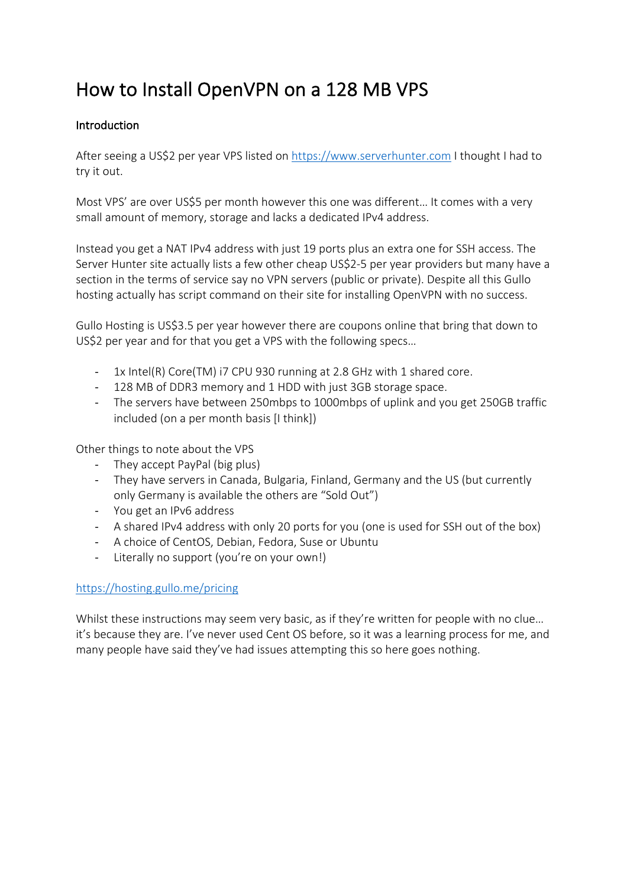# How to Install OpenVPN on a 128 MB VPS

### Introduction

After seeing a US\$2 per year VPS listed on https://www.serverhunter.com I thought I had to try it out.

Most VPS' are over US\$5 per month however this one was different… It comes with a very small amount of memory, storage and lacks a dedicated IPv4 address.

Instead you get a NAT IPv4 address with just 19 ports plus an extra one for SSH access. The Server Hunter site actually lists a few other cheap US\$2-5 per year providers but many have a section in the terms of service say no VPN servers (public or private). Despite all this Gullo hosting actually has script command on their site for installing OpenVPN with no success.

Gullo Hosting is US\$3.5 per year however there are coupons online that bring that down to US\$2 per year and for that you get a VPS with the following specs…

- 1x Intel(R) Core(TM) i7 CPU 930 running at 2.8 GHz with 1 shared core.
- 128 MB of DDR3 memory and 1 HDD with just 3GB storage space.
- The servers have between 250mbps to 1000mbps of uplink and you get 250GB traffic included (on a per month basis [I think])

Other things to note about the VPS

- They accept PayPal (big plus)
- They have servers in Canada, Bulgaria, Finland, Germany and the US (but currently only Germany is available the others are "Sold Out")
- You get an IPv6 address
- A shared IPv4 address with only 20 ports for you (one is used for SSH out of the box)
- A choice of CentOS, Debian, Fedora, Suse or Ubuntu
- Literally no support (you're on your own!)

## https://hosting.gullo.me/pricing

Whilst these instructions may seem very basic, as if they're written for people with no clue... it's because they are. I've never used Cent OS before, so it was a learning process for me, and many people have said they've had issues attempting this so here goes nothing.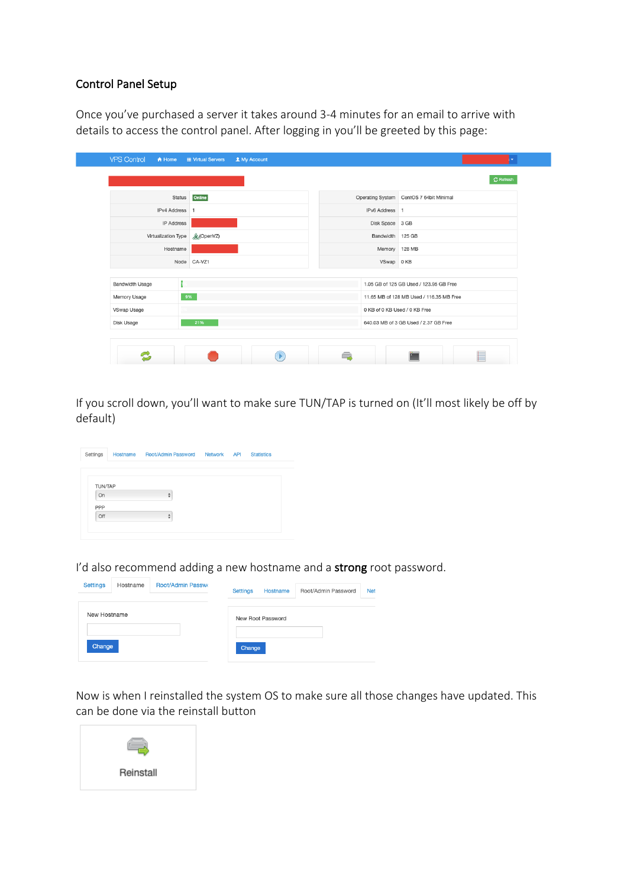#### Control Panel Setup

Once you've purchased a server it takes around 3-4 minutes for an email to arrive with details to access the control panel. After logging in you'll be greeted by this page:

| Status                 | Online            |  |                                       |                                          | Operating System CentOS 7 64bit Minimal |  |  |  |
|------------------------|-------------------|--|---------------------------------------|------------------------------------------|-----------------------------------------|--|--|--|
| <b>IPv4 Address</b>    |                   |  |                                       | IPv6 Address 1                           |                                         |  |  |  |
| IP Address             |                   |  |                                       | Disk Space 3 GB                          |                                         |  |  |  |
| Virtualization Type    | <b>A</b> (OpenVZ) |  |                                       | Bandwidth 125 GB                         |                                         |  |  |  |
| Hostname               |                   |  |                                       | Memory 128 MB                            |                                         |  |  |  |
|                        | Node CA-VZ1       |  |                                       | VSwap 0 KB                               |                                         |  |  |  |
| <b>Bandwidth Usage</b> |                   |  |                                       |                                          | 1.05 GB of 125 GB Used / 123.95 GB Free |  |  |  |
| Memory Usage           | 9%                |  |                                       | 11.65 MB of 128 MB Used / 116.35 MB Free |                                         |  |  |  |
| VSwap Usage            |                   |  |                                       |                                          | 0 KB of 0 KB Used / 0 KB Free           |  |  |  |
| 21%<br>Disk Usage      |                   |  | 640.03 MB of 3 GB Used / 2.37 GB Free |                                          |                                         |  |  |  |

If you scroll down, you'll want to make sure TUN/TAP is turned on (It'll most likely be off by default)

| Settings       | Hostname Root/Admin Password Network API |  | <b>Statistics</b> |
|----------------|------------------------------------------|--|-------------------|
|                |                                          |  |                   |
| <b>TUN/TAP</b> |                                          |  |                   |
| On             | $\frac{\text{A}}{\text{V}}$              |  |                   |
| PPP            |                                          |  |                   |
| Off            | ÷                                        |  |                   |

I'd also recommend adding a new hostname and a strong root password.

| <b>Settings</b><br><b>Root/Admin Passwo</b><br>Hostname | <b>Net</b><br>Root/Admin Password<br><b>Settings</b><br>Hostname |
|---------------------------------------------------------|------------------------------------------------------------------|
| New Hostname                                            | New Root Password                                                |
| Change                                                  | Change                                                           |

Now is when I reinstalled the system OS to make sure all those changes have updated. This can be done via the reinstall button

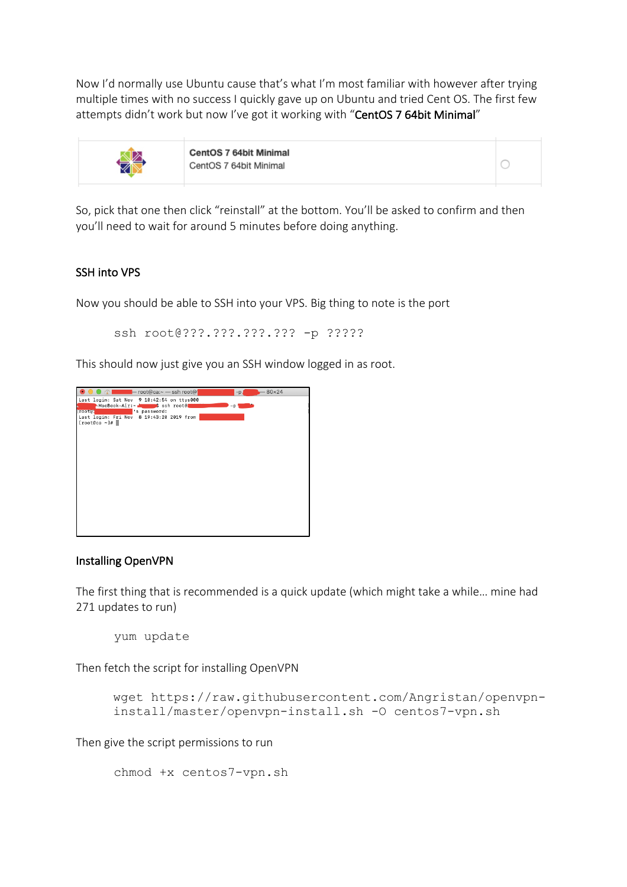Now I'd normally use Ubuntu cause that's what I'm most familiar with however after trying multiple times with no success I quickly gave up on Ubuntu and tried Cent OS. The first few attempts didn't work but now I've got it working with "CentOS 7 64bit Minimal"

 $\circ$ 



So, pick that one then click "reinstall" at the bottom. You'll be asked to confirm and then you'll need to wait for around 5 minutes before doing anything.

#### SSH into VPS

Now you should be able to SSH into your VPS. Big thing to note is the port

ssh root@???.???.???.??? -p ?????

This should now just give you an SSH window logged in as root.



#### Installing OpenVPN

The first thing that is recommended is a quick update (which might take a while… mine had 271 updates to run)

yum update

Then fetch the script for installing OpenVPN

```
wget https://raw.githubusercontent.com/Angristan/openvpn-
install/master/openvpn-install.sh -O centos7-vpn.sh
```
Then give the script permissions to run

```
chmod +x centos7-vpn.sh
```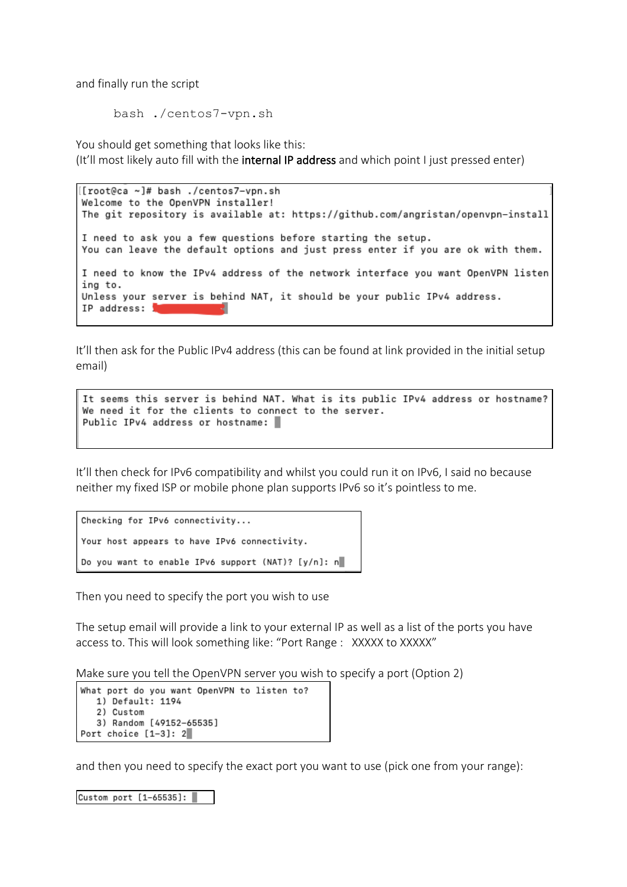and finally run the script

```
bash ./centos7-vpn.sh
```
You should get something that looks like this: (It'll most likely auto fill with the internal IP address and which point I just pressed enter)

```
[[root@ca ~]# bash ./centos7-vpn.sh
Welcome to the OpenVPN installer!
The git repository is available at: https://github.com/angristan/openvpn-install
I need to ask you a few questions before starting the setup.
You can leave the default options and just press enter if you are ok with them.
I need to know the IPv4 address of the network interface you want OpenVPN listen
ing to.
Unless your server is behind NAT, it should be your public IPv4 address.
IP address: J
```
It'll then ask for the Public IPv4 address (this can be found at link provided in the initial setup email)

```
It seems this server is behind NAT. What is its public IPv4 address or hostname?
We need it for the clients to connect to the server.
Public IPv4 address or hostname:
```
It'll then check for IPv6 compatibility and whilst you could run it on IPv6, I said no because neither my fixed ISP or mobile phone plan supports IPv6 so it's pointless to me.

```
Checking for IPv6 connectivity...
Your host appears to have IPv6 connectivity.
Do you want to enable IPv6 support (NAT)? [y/n]: n
```
Then you need to specify the port you wish to use

The setup email will provide a link to your external IP as well as a list of the ports you have access to. This will look something like: "Port Range : XXXXX to XXXXX"

Make sure you tell the OpenVPN server you wish to specify a port (Option 2)

```
What port do you want OpenVPN to listen to?
   1) Default: 1194
   2) Custom
   3) Random [49152-65535]
Port choice [1-3]: 2
```
and then you need to specify the exact port you want to use (pick one from your range):

```
Custom port [1-65535]:
```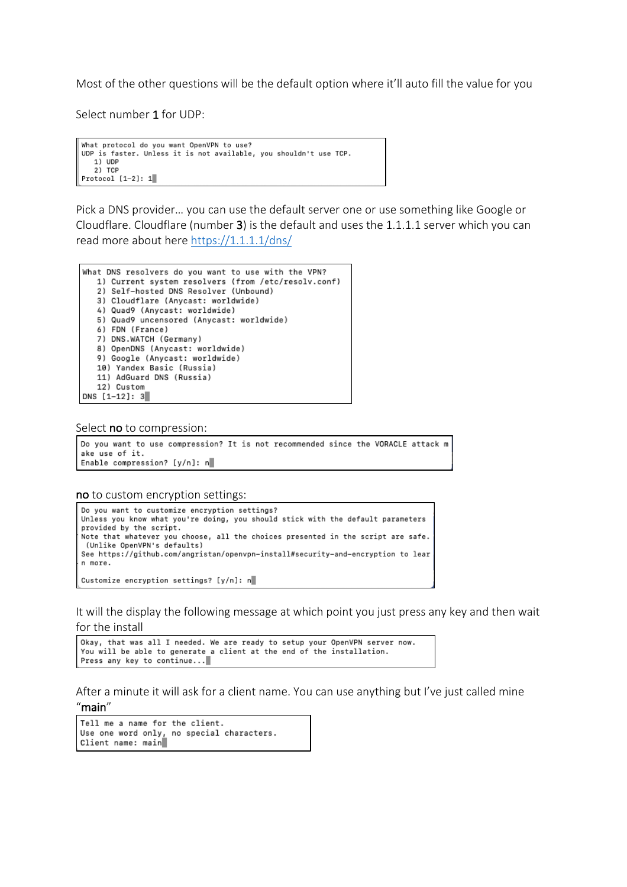Most of the other questions will be the default option where it'll auto fill the value for you

Select number 1 for UDP:

```
What protocol do you want OpenVPN to use?
UDP is faster. Unless it is not available, you shouldn't use TCP.
  1) UDP<br>2) TCP
Protocol [1-2]: 1
```
Pick a DNS provider… you can use the default server one or use something like Google or Cloudflare. Cloudflare (number 3) is the default and uses the 1.1.1.1 server which you can read more about here https://1.1.1.1/dns/

```
What DNS resolvers do you want to use with the VPN?
   1) Current system resolvers (from /etc/resolv.conf)
   2) Self-hosted DNS Resolver (Unbound)
   3) Cloudflare (Anycast: worldwide)
   4) Quad9 (Anycast: worldwide)
   5) Quad9 uncensored (Anycast: worldwide)
   6) FDN (France)
   7) DNS.WATCH (Germany)
   8) OpenDNS (Anycast: worldwide)
   9) Google (Anycast: worldwide)
   10) Yandex Basic (Russia)
   11) AdGuard DNS (Russia)
   12) Custom
DNS [1-12]: 3
```
#### Select **no** to compression:

```
Do you want to use compression? It is not recommended since the VORACLE attack m
ake use of it.
Enable compression? [y/n]: n
```
no to custom encryption settings:

```
Do you want to customize encryption settings?
Unless you know what you're doing, you should stick with the default parameters
provided by the script.
Note that whatever you choose, all the choices presented in the script are safe.
 (Unlike OpenVPN's defaults)
See https://github.com/angristan/openvpn-install#security-and-encryption to lear
n more.
Customize encryption settings? [y/n]: n
```
It will the display the following message at which point you just press any key and then wait for the install

```
Okay, that was all I needed. We are ready to setup your OpenVPN server now.
You will be able to generate a client at the end of the installation.
Press any key to continue...
```
After a minute it will ask for a client name. You can use anything but I've just called mine "main"

```
Tell me a name for the client.
Use one word only, no special characters.<br>Client name: main
```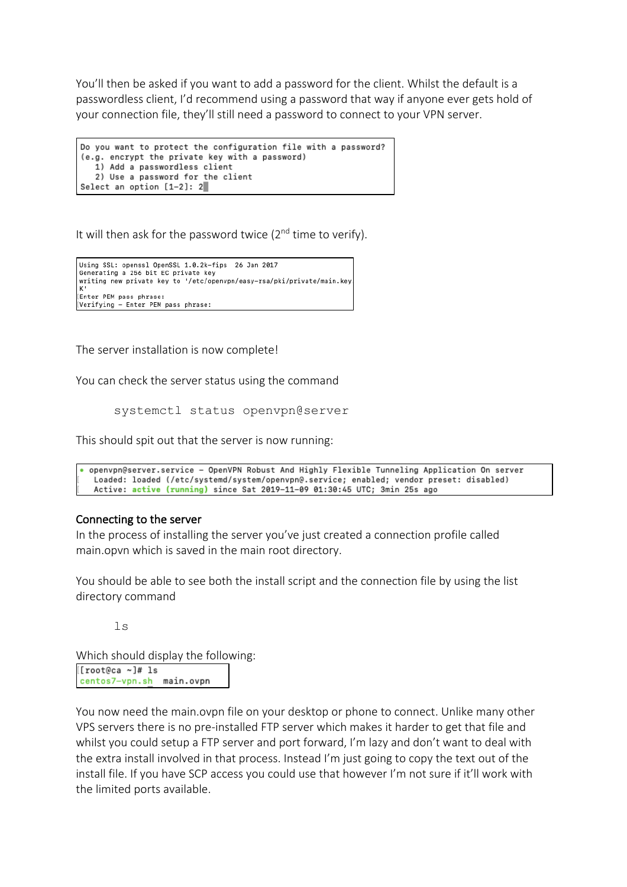You'll then be asked if you want to add a password for the client. Whilst the default is a passwordless client, I'd recommend using a password that way if anyone ever gets hold of your connection file, they'll still need a password to connect to your VPN server.

```
Do you want to protect the configuration file with a password?
(e.g. encrypt the private key with a password)
  1) Add a passwordless client
   2) Use a password for the client
Select an option [1-2]: 2
```
It will then ask for the password twice  $(2^{nd}$  time to verify).

```
Using SSL: openssl OpenSSL 1.0.2k-fips 26 Jan 2017
Generating a 256 bit EC private key
writing new private key to '/etc/openvpn/easy-rsa/pki/private/main.key
Enter PEM pass phrase:
Verifying - Enter PEM pass phrase:
```
The server installation is now complete!

You can check the server status using the command

systemctl status openvpn@server

This should spit out that the server is now running:

```
. openvpn@server.service - OpenVPN Robust And Highly Flexible Tunneling Application On server
  Loaded: loaded (/etc/systemd/system/openvpn@.service; enabled; vendor preset: disabled)
  Active: active (running) since Sat 2019-11-09 01:30:45 UTC; 3min 25s ago
```
#### Connecting to the server

In the process of installing the server you've just created a connection profile called main.opvn which is saved in the main root directory.

You should be able to see both the install script and the connection file by using the list directory command

ls

Which should display the following: [[root@ca ~]# 1s centos7-vpn.sh main.ovpn

You now need the main.ovpn file on your desktop or phone to connect. Unlike many other VPS servers there is no pre-installed FTP server which makes it harder to get that file and whilst you could setup a FTP server and port forward, I'm lazy and don't want to deal with the extra install involved in that process. Instead I'm just going to copy the text out of the install file. If you have SCP access you could use that however I'm not sure if it'll work with the limited ports available.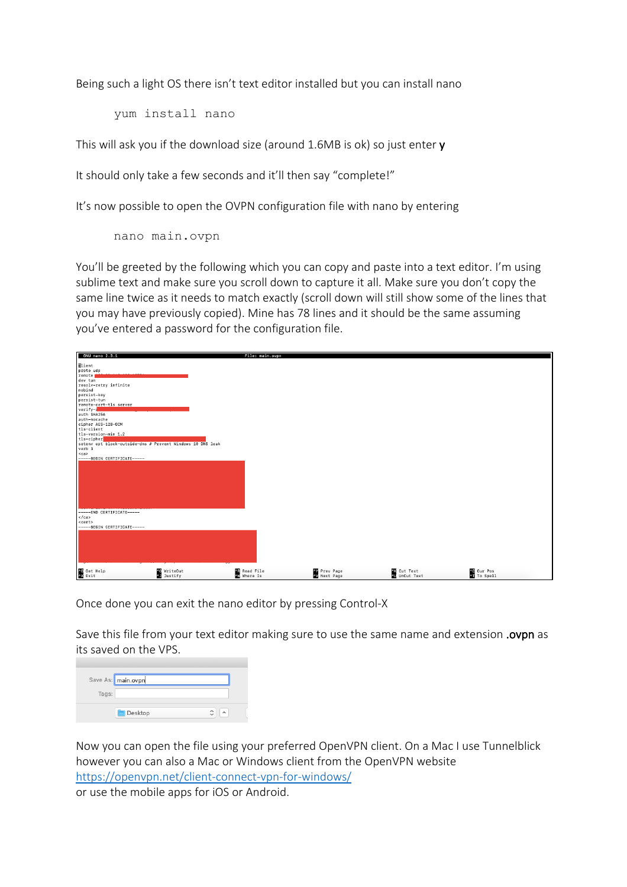Being such a light OS there isn't text editor installed but you can install nano

yum install nano

This will ask you if the download size (around 1.6MB is ok) so just enter y

It should only take a few seconds and it'll then say "complete!"

It's now possible to open the OVPN configuration file with nano by entering

nano main.ovpn

You'll be greeted by the following which you can copy and paste into a text editor. I'm using sublime text and make sure you scroll down to capture it all. Make sure you don't copy the same line twice as it needs to match exactly (scroll down will still show some of the lines that you may have previously copied). Mine has 78 lines and it should be the same assuming you've entered a password for the configuration file.

| GNU nano 2.3.1                                                                                                                                                                                                        | File: main.ovpn             |                                            |                              |                                  |
|-----------------------------------------------------------------------------------------------------------------------------------------------------------------------------------------------------------------------|-----------------------------|--------------------------------------------|------------------------------|----------------------------------|
| Elient<br>proto udp<br>remote<br>dev tun<br>resolv-retry infinite<br>nobind<br>persist-key<br>persist-tun<br>remote-cert-tls server<br>$versify -$<br>auth SHA256<br>auth-nocache<br>cipher AES-128-GCM<br>tls-client |                             |                                            |                              |                                  |
| tls-version-min 1.2<br>tls-cipher<br>setenv opt block-outside-dns # Prevent Windows 10 DNS leak<br>verb 3<br>$<$ ca><br>-----BEGIN CERTIFICATE-----<br>-----END CERTIFICATE-----                                      |                             |                                            |                              |                                  |
| $\angle$ ca><br><cert><br/>-----BEGIN CERTIFICATE-----</cert>                                                                                                                                                         |                             |                                            |                              |                                  |
| AG Get Help<br>AX Exit<br>^0 WriteOut<br>^5 Justify                                                                                                                                                                   | at Read File<br>An Where Is | <b>AV</b> Prev Page<br><b>AV</b> Next Page | 43 Cut Text<br>40 UnCut Text | <b>AC</b> Cur Pos<br>AT To Spell |

Once done you can exit the nano editor by pressing Control-X

Save this file from your text editor making sure to use the same name and extension .ovpn as its saved on the VPS.

|       | Save As: main.ovpn |   |           |
|-------|--------------------|---|-----------|
| Tags: |                    |   |           |
|       | <b>Desktop</b>     | Ĉ | $\lambda$ |

Now you can open the file using your preferred OpenVPN client. On a Mac I use Tunnelblick however you can also a Mac or Windows client from the OpenVPN website https://openvpn.net/client-connect-vpn-for-windows/ or use the mobile apps for iOS or Android.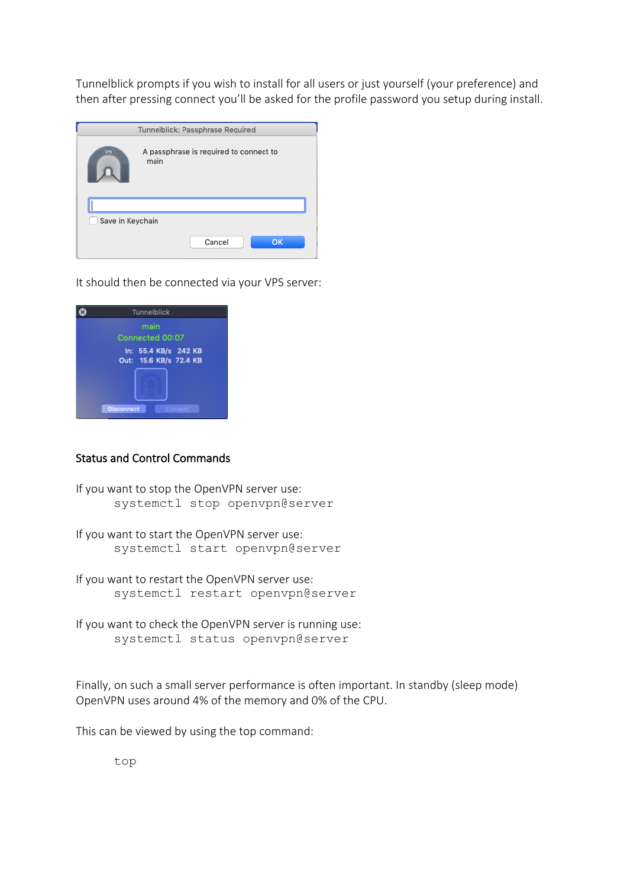Tunnelblick prompts if you wish to install for all users or just yourself (your preference) and then after pressing connect you'll be asked for the profile password you setup during install.

| Tunnelblick: Passphrase Required |                                                |  |  |  |  |  |  |
|----------------------------------|------------------------------------------------|--|--|--|--|--|--|
| ·WW-                             | A passphrase is required to connect to<br>main |  |  |  |  |  |  |
|                                  |                                                |  |  |  |  |  |  |
| Save in Keychain                 |                                                |  |  |  |  |  |  |
|                                  | <b>OK</b><br>Cancel                            |  |  |  |  |  |  |

It should then be connected via your VPS server:



#### Status and Control Commands

```
If you want to stop the OpenVPN server use:
      systemctl stop openvpn@server
```
If you want to start the OpenVPN server use: systemctl start openvpn@server

If you want to restart the OpenVPN server use: systemctl restart openvpn@server

If you want to check the OpenVPN server is running use: systemctl status openvpn@server

Finally, on such a small server performance is often important. In standby (sleep mode) OpenVPN uses around 4% of the memory and 0% of the CPU.

This can be viewed by using the top command:

top